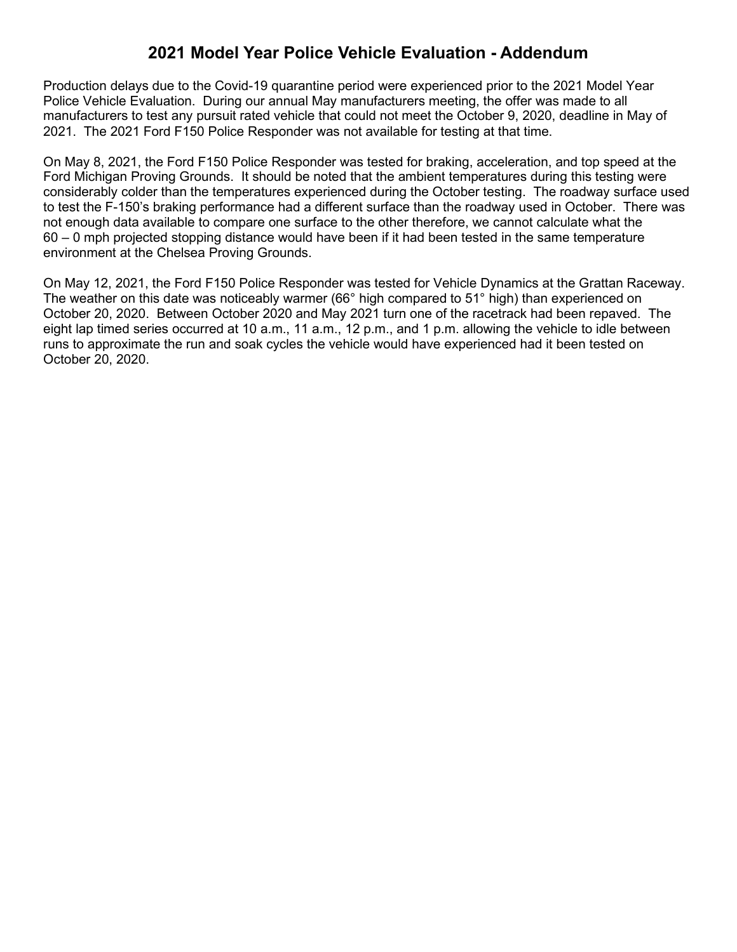## **2021 Model Year Police Vehicle Evaluation - Addendum**

Production delays due to the Covid-19 quarantine period were experienced prior to the 2021 Model Year Police Vehicle Evaluation. During our annual May manufacturers meeting, the offer was made to all manufacturers to test any pursuit rated vehicle that could not meet the October 9, 2020, deadline in May of 2021. The 2021 Ford F150 Police Responder was not available for testing at that time.

On May 8, 2021, the Ford F150 Police Responder was tested for braking, acceleration, and top speed at the Ford Michigan Proving Grounds. It should be noted that the ambient temperatures during this testing were considerably colder than the temperatures experienced during the October testing. The roadway surface used to test the F-150's braking performance had a different surface than the roadway used in October. There was not enough data available to compare one surface to the other therefore, we cannot calculate what the 60 – 0 mph projected stopping distance would have been if it had been tested in the same temperature environment at the Chelsea Proving Grounds.

On May 12, 2021, the Ford F150 Police Responder was tested for Vehicle Dynamics at the Grattan Raceway. The weather on this date was noticeably warmer (66° high compared to 51° high) than experienced on October 20, 2020. Between October 2020 and May 2021 turn one of the racetrack had been repaved. The eight lap timed series occurred at 10 a.m., 11 a.m., 12 p.m., and 1 p.m. allowing the vehicle to idle between runs to approximate the run and soak cycles the vehicle would have experienced had it been tested on October 20, 2020.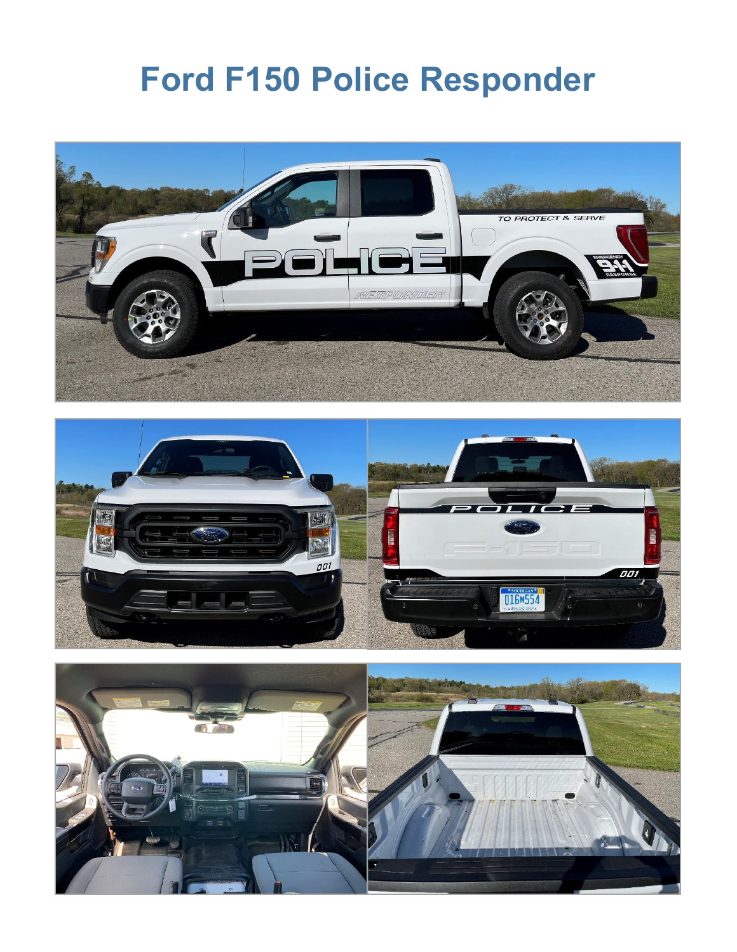# **Ford F150 Police Responder**





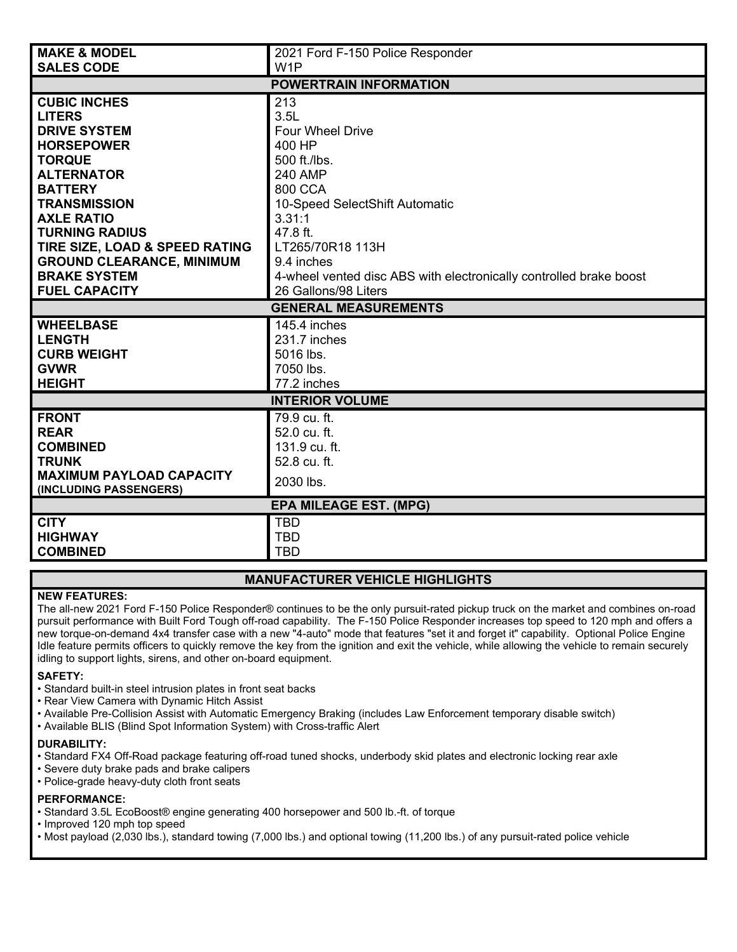| <b>MAKE &amp; MODEL</b>                         | 2021 Ford F-150 Police Responder                                   |  |  |  |  |
|-------------------------------------------------|--------------------------------------------------------------------|--|--|--|--|
| <b>SALES CODE</b>                               | W <sub>1</sub> P                                                   |  |  |  |  |
| <b>POWERTRAIN INFORMATION</b>                   |                                                                    |  |  |  |  |
| <b>CUBIC INCHES</b>                             | 213                                                                |  |  |  |  |
| <b>LITERS</b>                                   | 3.5L                                                               |  |  |  |  |
| <b>DRIVE SYSTEM</b>                             | <b>Four Wheel Drive</b>                                            |  |  |  |  |
| <b>HORSEPOWER</b>                               | 400 HP                                                             |  |  |  |  |
| <b>TORQUE</b>                                   | 500 ft./lbs.                                                       |  |  |  |  |
| <b>ALTERNATOR</b>                               | <b>240 AMP</b>                                                     |  |  |  |  |
| <b>BATTERY</b>                                  | 800 CCA                                                            |  |  |  |  |
| <b>TRANSMISSION</b>                             | 10-Speed SelectShift Automatic                                     |  |  |  |  |
| <b>AXLE RATIO</b>                               | 3.31:1                                                             |  |  |  |  |
| <b>TURNING RADIUS</b>                           | 47.8 ft.                                                           |  |  |  |  |
| TIRE SIZE, LOAD & SPEED RATING                  | LT265/70R18 113H                                                   |  |  |  |  |
| <b>GROUND CLEARANCE, MINIMUM</b>                | 9.4 inches                                                         |  |  |  |  |
| <b>BRAKE SYSTEM</b>                             | 4-wheel vented disc ABS with electronically controlled brake boost |  |  |  |  |
| <b>FUEL CAPACITY</b><br>26 Gallons/98 Liters    |                                                                    |  |  |  |  |
|                                                 |                                                                    |  |  |  |  |
|                                                 | <b>GENERAL MEASUREMENTS</b>                                        |  |  |  |  |
| <b>WHEELBASE</b>                                | 145.4 inches                                                       |  |  |  |  |
| <b>LENGTH</b>                                   | 231.7 inches                                                       |  |  |  |  |
| <b>CURB WEIGHT</b>                              | 5016 lbs.                                                          |  |  |  |  |
| <b>GVWR</b>                                     | 7050 lbs.                                                          |  |  |  |  |
| <b>HEIGHT</b>                                   | 77.2 inches                                                        |  |  |  |  |
|                                                 | <b>INTERIOR VOLUME</b>                                             |  |  |  |  |
| <b>FRONT</b>                                    | 79.9 cu. ft.                                                       |  |  |  |  |
| <b>REAR</b>                                     | 52.0 cu. ft.                                                       |  |  |  |  |
| <b>COMBINED</b>                                 | 131.9 cu. ft.                                                      |  |  |  |  |
| <b>TRUNK</b><br><b>MAXIMUM PAYLOAD CAPACITY</b> | 52.8 cu. ft.                                                       |  |  |  |  |
| (INCLUDING PASSENGERS)                          | 2030 lbs.                                                          |  |  |  |  |
|                                                 | <b>EPA MILEAGE EST. (MPG)</b>                                      |  |  |  |  |
| <b>CITY</b>                                     | <b>TBD</b>                                                         |  |  |  |  |
| <b>HIGHWAY</b>                                  | <b>TBD</b><br><b>TBD</b>                                           |  |  |  |  |

#### **MANUFACTURER VEHICLE HIGHLIGHTS**

#### **NEW FEATURES:**

The all-new 2021 Ford F-150 Police Responder® continues to be the only pursuit-rated pickup truck on the market and combines on-road pursuit performance with Built Ford Tough off-road capability. The F-150 Police Responder increases top speed to 120 mph and offers a new torque-on-demand 4x4 transfer case with a new "4-auto" mode that features "set it and forget it" capability. Optional Police Engine Idle feature permits officers to quickly remove the key from the ignition and exit the vehicle, while allowing the vehicle to remain securely idling to support lights, sirens, and other on-board equipment.

#### **SAFETY:**

- Standard built-in steel intrusion plates in front seat backs
- Rear View Camera with Dynamic Hitch Assist
- Available Pre-Collision Assist with Automatic Emergency Braking (includes Law Enforcement temporary disable switch)
- Available BLIS (Blind Spot Information System) with Cross-traffic Alert

#### **DURABILITY:**

- Standard FX4 Off-Road package featuring off-road tuned shocks, underbody skid plates and electronic locking rear axle
- Severe duty brake pads and brake calipers
- Police-grade heavy-duty cloth front seats

#### **PERFORMANCE:**

- Standard 3.5L EcoBoost® engine generating 400 horsepower and 500 lb.-ft. of torque
- Improved 120 mph top speed
- Most payload (2,030 lbs.), standard towing (7,000 lbs.) and optional towing (11,200 lbs.) of any pursuit-rated police vehicle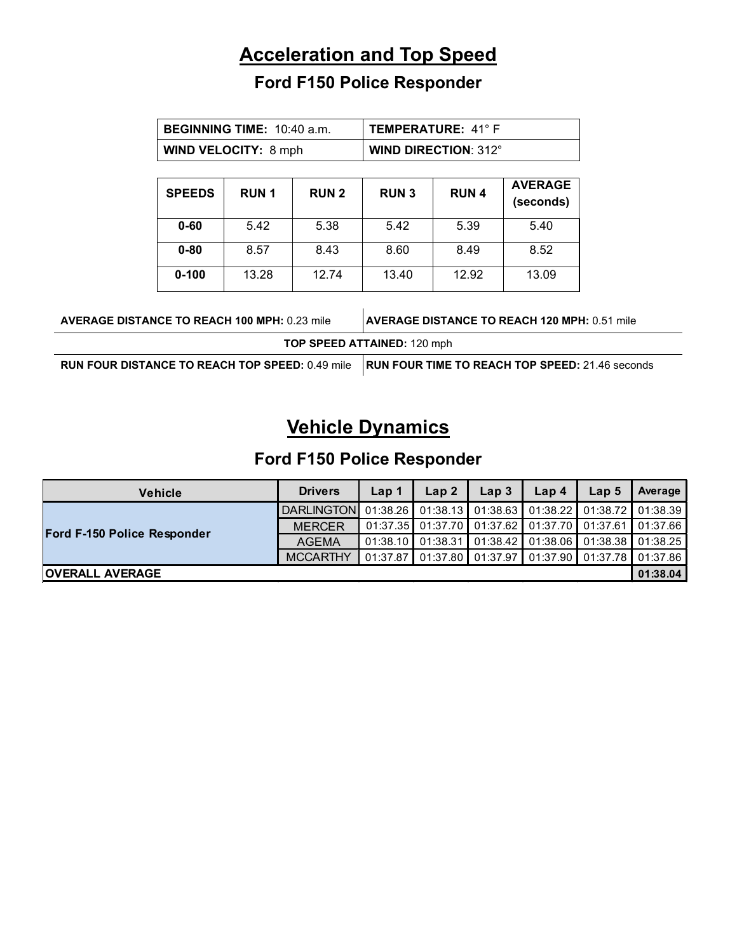# **Acceleration and Top Speed**

# **Ford F150 Police Responder**

|                                                     | <b>BEGINNING TIME: 10:40 a.m.</b> |             |              | <b>TEMPERATURE: 41°F</b>           |             |                                                        |
|-----------------------------------------------------|-----------------------------------|-------------|--------------|------------------------------------|-------------|--------------------------------------------------------|
|                                                     | <b>WIND VELOCITY: 8 mph</b>       |             |              | <b>WIND DIRECTION: 312°</b>        |             |                                                        |
|                                                     | <b>SPEEDS</b>                     | <b>RUN1</b> | <b>RUN 2</b> | <b>RUN3</b>                        | <b>RUN4</b> | <b>AVERAGE</b><br>(seconds)                            |
|                                                     | $0 - 60$                          | 5.42        | 5.38         | 5.42                               | 5.39        | 5.40                                                   |
|                                                     | $0 - 80$                          | 8.57        | 8.43         | 8.60                               | 8.49        | 8.52                                                   |
|                                                     | $0 - 100$                         | 13.28       | 12.74        | 13.40                              | 12.92       | 13.09                                                  |
| <b>AVERAGE DISTANCE TO REACH 100 MPH: 0.23 mile</b> |                                   |             |              |                                    |             | <b>AVERAGE DISTANCE TO REACH 120 MPH: 0.51 mile</b>    |
|                                                     |                                   |             |              | <b>TOP SPEED ATTAINED: 120 mph</b> |             |                                                        |
| RUN FOUR DISTANCE TO REACH TOP SPEED: 0.49 mile     |                                   |             |              |                                    |             | <b>RUN FOUR TIME TO REACH TOP SPEED: 21.46 seconds</b> |

# **Vehicle Dynamics**

# **Ford F150 Police Responder**

| <b>Vehicle</b>              | <b>Drivers</b>                                                   | Lap 1    | Lap <sub>2</sub> | Lap <sub>3</sub> | Lap <sub>4</sub> | Lap 5                                                               | Average  |
|-----------------------------|------------------------------------------------------------------|----------|------------------|------------------|------------------|---------------------------------------------------------------------|----------|
|                             | DARLINGTON 01:38.26 01:38.13 01:38.63 01:38.22 01:38.72 01:38.39 |          |                  |                  |                  |                                                                     |          |
| Ford F-150 Police Responder | <b>MERCER</b>                                                    |          |                  |                  |                  | │ 01:37.35 ┃ 01:37.70 ┃ 01:37.62 ┃ 01:37.70 ┃ 01:37.61 ┃ 01:37.66 ┃ |          |
|                             | <b>AGEMA</b>                                                     |          |                  |                  |                  | 01:38.10   01:38.31   01:38.42   01:38.06   01:38.38   01:38.25     |          |
|                             | <b>MCCARTHY</b>                                                  | 01:37.87 |                  |                  |                  | 01:37.80    01:37.97    01:37.90    01:37.78    01:37.86            |          |
| <b>IOVERALL AVERAGE</b>     |                                                                  |          |                  |                  |                  |                                                                     | 01:38.04 |